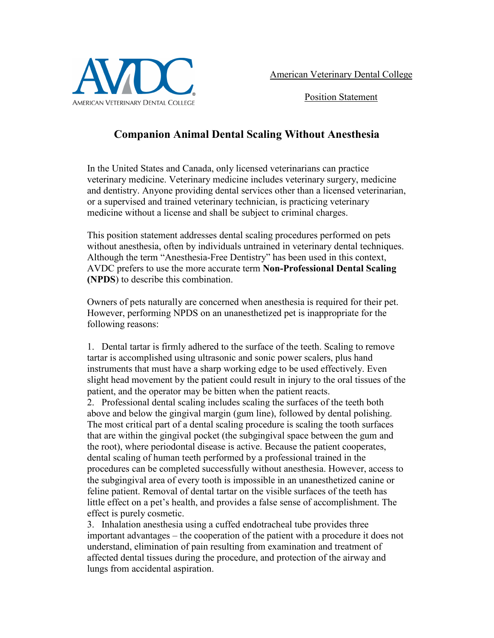

American Veterinary Dental College

Position Statement

## **Companion Animal Dental Scaling Without Anesthesia**

In the United States and Canada, only licensed veterinarians can practice veterinary medicine. Veterinary medicine includes veterinary surgery, medicine and dentistry. Anyone providing dental services other than a licensed veterinarian, or a supervised and trained veterinary technician, is practicing veterinary medicine without a license and shall be subject to criminal charges.

This position statement addresses dental scaling procedures performed on pets without anesthesia, often by individuals untrained in veterinary dental techniques. Although the term "Anesthesia-Free Dentistry" has been used in this context, AVDC prefers to use the more accurate term **Non-Professional Dental Scaling (NPDS**) to describe this combination.

Owners of pets naturally are concerned when anesthesia is required for their pet. However, performing NPDS on an unanesthetized pet is inappropriate for the following reasons:

1. Dental tartar is firmly adhered to the surface of the teeth. Scaling to remove tartar is accomplished using ultrasonic and sonic power scalers, plus hand instruments that must have a sharp working edge to be used effectively. Even slight head movement by the patient could result in injury to the oral tissues of the patient, and the operator may be bitten when the patient reacts.

2. Professional dental scaling includes scaling the surfaces of the teeth both above and below the gingival margin (gum line), followed by dental polishing. The most critical part of a dental scaling procedure is scaling the tooth surfaces that are within the gingival pocket (the subgingival space between the gum and the root), where periodontal disease is active. Because the patient cooperates, dental scaling of human teeth performed by a professional trained in the procedures can be completed successfully without anesthesia. However, access to the subgingival area of every tooth is impossible in an unanesthetized canine or feline patient. Removal of dental tartar on the visible surfaces of the teeth has little effect on a pet's health, and provides a false sense of accomplishment. The effect is purely cosmetic.

3. Inhalation anesthesia using a cuffed endotracheal tube provides three important advantages – the cooperation of the patient with a procedure it does not understand, elimination of pain resulting from examination and treatment of affected dental tissues during the procedure, and protection of the airway and lungs from accidental aspiration.